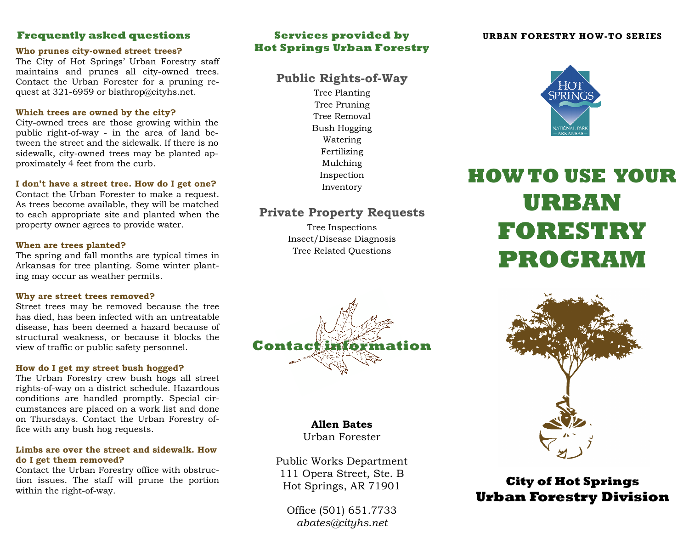# **Frequently asked questions**

### **Who prunes city-owned street trees?**

The City of Hot Springs' Urban Forestry staff maintains and prunes all city-owned trees. Contact the Urban Forester for a pruning request at 321-6959 or blathrop@cityhs.net.

### **Which trees are owned by the city?**

City-owned trees are those growing within the public right-of-way - in the area of land between the street and the sidewalk. If there is no sidewalk, city-owned trees may be planted approximately 4 feet from the curb.

### **I don't have a street tree. How do I get one?**

Contact the Urban Forester to make a request. As trees become available, they will be matched to each appropriate site and planted when the property owner agrees to provide water.

### **When are trees planted?**

The spring and fall months are typical times in Arkansas for tree planting. Some winter planting may occur as weather permits.

### **Why are street trees removed?**

Street trees may be removed because the tree has died, has been infected with an untreatable disease, has been deemed a hazard because of structural weakness, or because it blocks the view of traffic or public safety personnel.

### **How do I get my street bush hogged?**

The Urban Forestry crew bush hogs all street rights-of-way on a district schedule. Hazardous conditions are handled promptly. Special circumstances are placed on a work list and done on Thursdays. Contact the Urban Forestry office with any bush hog requests.

### **Limbs are over the street and sidewalk. How do I get them removed?**

Contact the Urban Forestry office with obstruction issues. The staff will prune the portion within the right-of-way.

# **Services provided by Hot Springs Urban Forestry**

# **Public Rights-of-Way**

Tree Planting Tree Pruning Tree Removal Bush Hogging Watering Fertilizing Mulching Inspection Inventory

# **Private Property Requests**

Tree Inspections Insect/Disease Diagnosis Tree Related Questions



# **Allen Bates**

Urban Forester

Public Works Department 111 Opera Street, Ste. B Hot Springs, AR 71901

Office (501) 651.7733*abates@cityhs.net* 

### **URBAN FORESTRY HOW-TO SERIES**



# **HOW TO USE YOUR URBAN FORESTRY PROGRAM**



# **City of Hot Springs Urban Forestry Division**